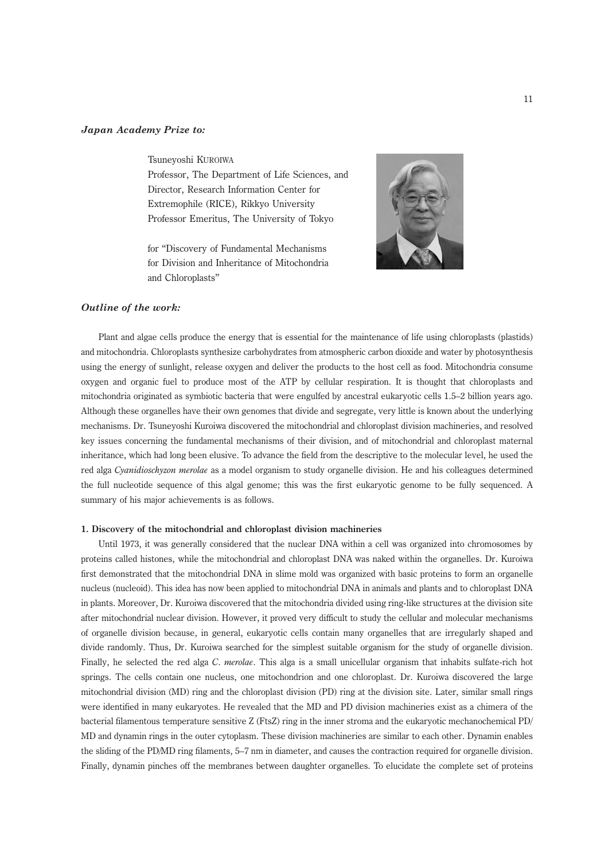## Japan Academy Prize to:

Tsuneyoshi KUROIWA

Professor, The Department of Life Sciences, and Director, Research Information Center for Extremophile (RICE), Rikkyo University Professor Emeritus, The University of Tokyo

for ''Discovery of Fundamental Mechanisms for Division and Inheritance of Mitochondria and Chloroplasts''



## Outline of the work:

Plant and algae cells produce the energy that is essential for the maintenance of life using chloroplasts (plastids) and mitochondria. Chloroplasts synthesize carbohydrates from atmospheric carbon dioxide and water by photosynthesis using the energy of sunlight, release oxygen and deliver the products to the host cell as food. Mitochondria consume oxygen and organic fuel to produce most of the ATP by cellular respiration. It is thought that chloroplasts and mitochondria originated as symbiotic bacteria that were engulfed by ancestral eukaryotic cells 1.5–2 billion years ago. Although these organelles have their own genomes that divide and segregate, very little is known about the underlying mechanisms. Dr. Tsuneyoshi Kuroiwa discovered the mitochondrial and chloroplast division machineries, and resolved key issues concerning the fundamental mechanisms of their division, and of mitochondrial and chloroplast maternal inheritance, which had long been elusive. To advance the field from the descriptive to the molecular level, he used the red alga Cyanidioschyzon merolae as a model organism to study organelle division. He and his colleagues determined the full nucleotide sequence of this algal genome; this was the first eukaryotic genome to be fully sequenced. A summary of his major achievements is as follows.

#### 1. Discovery of the mitochondrial and chloroplast division machineries

Until 1973, it was generally considered that the nuclear DNA within a cell was organized into chromosomes by proteins called histones, while the mitochondrial and chloroplast DNA was naked within the organelles. Dr. Kuroiwa first demonstrated that the mitochondrial DNA in slime mold was organized with basic proteins to form an organelle nucleus (nucleoid). This idea has now been applied to mitochondrial DNA in animals and plants and to chloroplast DNA in plants. Moreover, Dr. Kuroiwa discovered that the mitochondria divided using ring-like structures at the division site after mitochondrial nuclear division. However, it proved very difficult to study the cellular and molecular mechanisms of organelle division because, in general, eukaryotic cells contain many organelles that are irregularly shaped and divide randomly. Thus, Dr. Kuroiwa searched for the simplest suitable organism for the study of organelle division. Finally, he selected the red alga C. merolae. This alga is a small unicellular organism that inhabits sulfate-rich hot springs. The cells contain one nucleus, one mitochondrion and one chloroplast. Dr. Kuroiwa discovered the large mitochondrial division (MD) ring and the chloroplast division (PD) ring at the division site. Later, similar small rings were identified in many eukaryotes. He revealed that the MD and PD division machineries exist as a chimera of the bacterial filamentous temperature sensitive Z (FtsZ) ring in the inner stroma and the eukaryotic mechanochemical PD/ MD and dynamin rings in the outer cytoplasm. These division machineries are similar to each other. Dynamin enables the sliding of the PD/MD ring filaments, 5–7 nm in diameter, and causes the contraction required for organelle division. Finally, dynamin pinches off the membranes between daughter organelles. To elucidate the complete set of proteins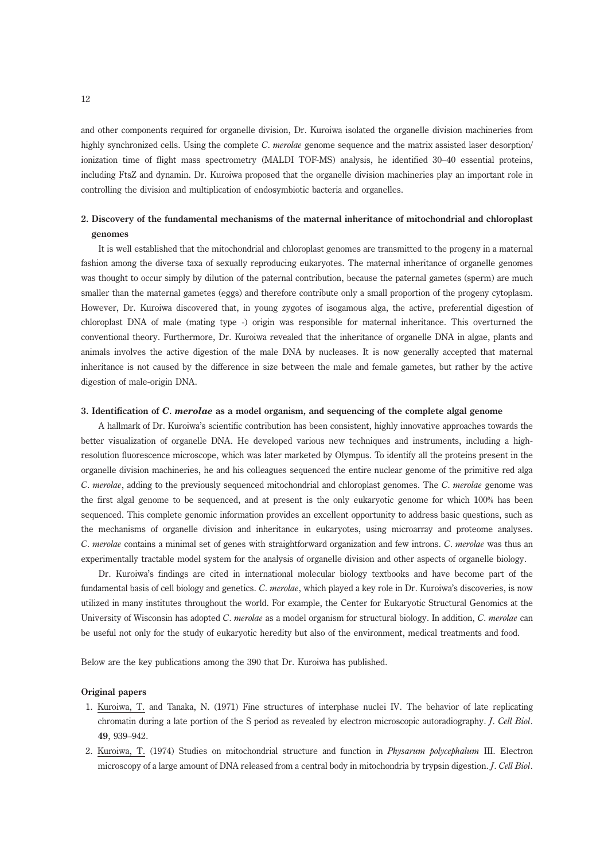and other components required for organelle division, Dr. Kuroiwa isolated the organelle division machineries from highly synchronized cells. Using the complete C. merolae genome sequence and the matrix assisted laser desorption/ ionization time of flight mass spectrometry (MALDI TOF-MS) analysis, he identified 30–40 essential proteins, including FtsZ and dynamin. Dr. Kuroiwa proposed that the organelle division machineries play an important role in controlling the division and multiplication of endosymbiotic bacteria and organelles.

# 2. Discovery of the fundamental mechanisms of the maternal inheritance of mitochondrial and chloroplast genomes

It is well established that the mitochondrial and chloroplast genomes are transmitted to the progeny in a maternal fashion among the diverse taxa of sexually reproducing eukaryotes. The maternal inheritance of organelle genomes was thought to occur simply by dilution of the paternal contribution, because the paternal gametes (sperm) are much smaller than the maternal gametes (eggs) and therefore contribute only a small proportion of the progeny cytoplasm. However, Dr. Kuroiwa discovered that, in young zygotes of isogamous alga, the active, preferential digestion of chloroplast DNA of male (mating type -) origin was responsible for maternal inheritance. This overturned the conventional theory. Furthermore, Dr. Kuroiwa revealed that the inheritance of organelle DNA in algae, plants and animals involves the active digestion of the male DNA by nucleases. It is now generally accepted that maternal inheritance is not caused by the difference in size between the male and female gametes, but rather by the active digestion of male-origin DNA.

### 3. Identification of C. merolae as a model organism, and sequencing of the complete algal genome

A hallmark of Dr. Kuroiwa's scientific contribution has been consistent, highly innovative approaches towards the better visualization of organelle DNA. He developed various new techniques and instruments, including a highresolution fluorescence microscope, which was later marketed by Olympus. To identify all the proteins present in the organelle division machineries, he and his colleagues sequenced the entire nuclear genome of the primitive red alga C. merolae, adding to the previously sequenced mitochondrial and chloroplast genomes. The C. merolae genome was the first algal genome to be sequenced, and at present is the only eukaryotic genome for which 100*%* has been sequenced. This complete genomic information provides an excellent opportunity to address basic questions, such as the mechanisms of organelle division and inheritance in eukaryotes, using microarray and proteome analyses. C. merolae contains a minimal set of genes with straightforward organization and few introns. C. merolae was thus an experimentally tractable model system for the analysis of organelle division and other aspects of organelle biology.

Dr. Kuroiwa's findings are cited in international molecular biology textbooks and have become part of the fundamental basis of cell biology and genetics. C. merolae, which played a key role in Dr. Kuroiwa's discoveries, is now utilized in many institutes throughout the world. For example, the Center for Eukaryotic Structural Genomics at the University of Wisconsin has adopted C. merolae as a model organism for structural biology. In addition, C. merolae can be useful not only for the study of eukaryotic heredity but also of the environment, medical treatments and food.

Below are the key publications among the 390 that Dr. Kuroiwa has published.

### Original papers

- 1. Kuroiwa, T. and Tanaka, N. (1971) Fine structures of interphase nuclei IV. The behavior of late replicating chromatin during a late portion of the S period as revealed by electron microscopic autoradiography. J. Cell Biol. 49, 939–942.
- 2. Kuroiwa, T. (1974) Studies on mitochondrial structure and function in Physarum polycephalum III. Electron microscopy of a large amount of DNA released from a central body in mitochondria by trypsin digestion. *J. Cell Biol.*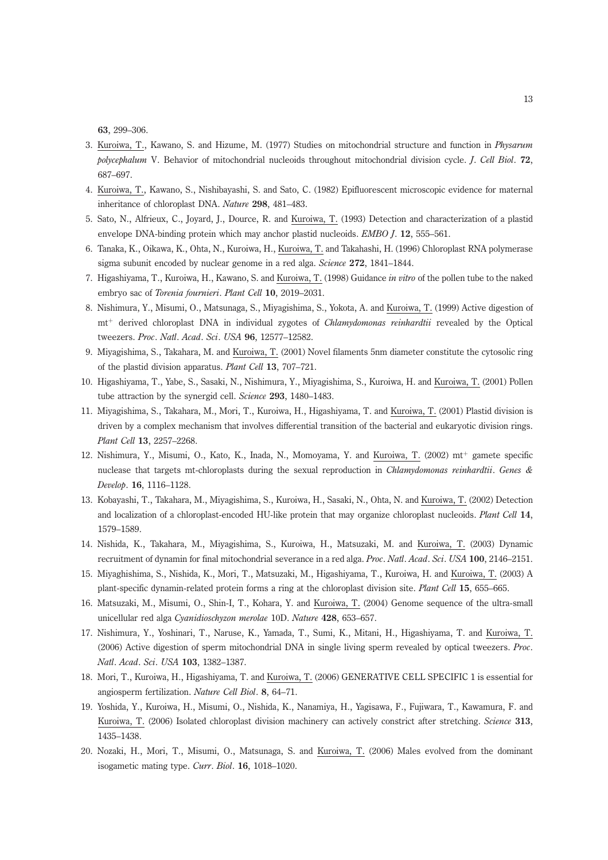63, 299–306.

- 3. Kuroiwa, T., Kawano, S. and Hizume, M. (1977) Studies on mitochondrial structure and function in Physarum polycephalum V. Behavior of mitochondrial nucleoids throughout mitochondrial division cycle. J. Cell Biol. 72, 687–697.
- 4. Kuroiwa, T., Kawano, S., Nishibayashi, S. and Sato, C. (1982) Epifluorescent microscopic evidence for maternal inheritance of chloroplast DNA. Nature 298, 481–483.
- 5. Sato, N., Alfrieux, C., Joyard, J., Dource, R. and Kuroiwa, T. (1993) Detection and characterization of a plastid envelope DNA-binding protein which may anchor plastid nucleoids. EMBO J. 12, 555–561.
- 6. Tanaka, K., Oikawa, K., Ohta, N., Kuroiwa, H., Kuroiwa, T. and Takahashi, H. (1996) Chloroplast RNA polymerase sigma subunit encoded by nuclear genome in a red alga. Science 272, 1841–1844.
- 7. Higashiyama, T., Kuroiwa, H., Kawano, S. and Kuroiwa, T. (1998) Guidance in vitro of the pollen tube to the naked embryo sac of Torenia fournieri. Plant Cell 10, 2019–2031.
- 8. Nishimura, Y., Misumi, O., Matsunaga, S., Miyagishima, S., Yokota, A. and Kuroiwa, T. (1999) Active digestion of mt<sup>+</sup> derived chloroplast DNA in individual zygotes of Chlamydomonas reinhardtii revealed by the Optical tweezers. Proc. Natl. Acad. Sci. USA 96, 12577–12582.
- 9. Miyagishima, S., Takahara, M. and Kuroiwa, T. (2001) Novel filaments 5nm diameter constitute the cytosolic ring of the plastid division apparatus. Plant Cell 13, 707–721.
- 10. Higashiyama, T., Yabe, S., Sasaki, N., Nishimura, Y., Miyagishima, S., Kuroiwa, H. and Kuroiwa, T. (2001) Pollen tube attraction by the synergid cell. Science 293, 1480-1483.
- 11. Miyagishima, S., Takahara, M., Mori, T., Kuroiwa, H., Higashiyama, T. and Kuroiwa, T. (2001) Plastid division is driven by a complex mechanism that involves differential transition of the bacterial and eukaryotic division rings. Plant Cell 13, 2257–2268.
- 12. Nishimura, Y., Misumi, O., Kato, K., Inada, N., Momoyama, Y. and Kuroiwa, T. (2002) mt<sup>+</sup> gamete specific nuclease that targets mt-chloroplasts during the sexual reproduction in Chlamydomonas reinhardtii. Genes & Develop. 16, 1116–1128.
- 13. Kobayashi, T., Takahara, M., Miyagishima, S., Kuroiwa, H., Sasaki, N., Ohta, N. and Kuroiwa, T. (2002) Detection and localization of a chloroplast-encoded HU-like protein that may organize chloroplast nucleoids. Plant Cell 14, 1579–1589.
- 14. Nishida, K., Takahara, M., Miyagishima, S., Kuroiwa, H., Matsuzaki, M. and Kuroiwa, T. (2003) Dynamic recruitment of dynamin for final mitochondrial severance in a red alga. *Proc. Natl. Acad. Sci. USA* 100, 2146–2151.
- 15. Miyaghishima, S., Nishida, K., Mori, T., Matsuzaki, M., Higashiyama, T., Kuroiwa, H. and Kuroiwa, T. (2003) A plant-specific dynamin-related protein forms a ring at the chloroplast division site. Plant Cell 15, 655-665.
- 16. Matsuzaki, M., Misumi, O., Shin-I, T., Kohara, Y. and Kuroiwa, T. (2004) Genome sequence of the ultra-small unicellular red alga Cyanidioschyzon merolae 10D. Nature 428, 653–657.
- 17. Nishimura, Y., Yoshinari, T., Naruse, K., Yamada, T., Sumi, K., Mitani, H., Higashiyama, T. and Kuroiwa, T. (2006) Active digestion of sperm mitochondrial DNA in single living sperm revealed by optical tweezers. Proc. Natl. Acad. Sci. USA 103, 1382–1387.
- 18. Mori, T., Kuroiwa, H., Higashiyama, T. and Kuroiwa, T. (2006) GENERATIVE CELL SPECIFIC 1 is essential for angiosperm fertilization. Nature Cell Biol. 8, 64–71.
- 19. Yoshida, Y., Kuroiwa, H., Misumi, O., Nishida, K., Nanamiya, H., Yagisawa, F., Fujiwara, T., Kawamura, F. and Kuroiwa, T. (2006) Isolated chloroplast division machinery can actively constrict after stretching. Science 313, 1435–1438.
- 20. Nozaki, H., Mori, T., Misumi, O., Matsunaga, S. and Kuroiwa, T. (2006) Males evolved from the dominant isogametic mating type. Curr. Biol. 16, 1018–1020.